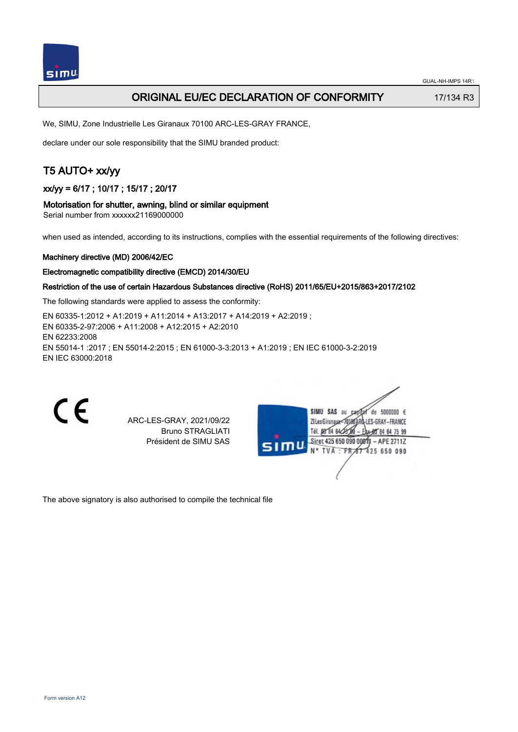

## ORIGINAL EU/EC DECLARATION OF CONFORMITY 17/134 R3

We, SIMU, Zone Industrielle Les Giranaux 70100 ARC-LES-GRAY FRANCE,

declare under our sole responsibility that the SIMU branded product:

## T5 AUTO+ xx/yy

## xx/yy = 6/17 ; 10/17 ; 15/17 ; 20/17

#### Motorisation for shutter, awning, blind or similar equipment

Serial number from xxxxxx21169000000

when used as intended, according to its instructions, complies with the essential requirements of the following directives:

#### Machinery directive (MD) 2006/42/EC

#### Electromagnetic compatibility directive (EMCD) 2014/30/EU

### Restriction of the use of certain Hazardous Substances directive (RoHS) 2011/65/EU+2015/863+2017/2102

The following standards were applied to assess the conformity:

EN 60335‑1:2012 + A1:2019 + A11:2014 + A13:2017 + A14:2019 + A2:2019 ; EN 60335‑2‑97:2006 + A11:2008 + A12:2015 + A2:2010 EN 62233:2008 EN 55014‑1 :2017 ; EN 55014‑2:2015 ; EN 61000‑3‑3:2013 + A1:2019 ; EN IEC 61000‑3‑2:2019 EN IEC 63000:2018

C E

ARC-LES-GRAY, 2021/09/22 Bruno STRAGLIATI Président de SIMU SAS



The above signatory is also authorised to compile the technical file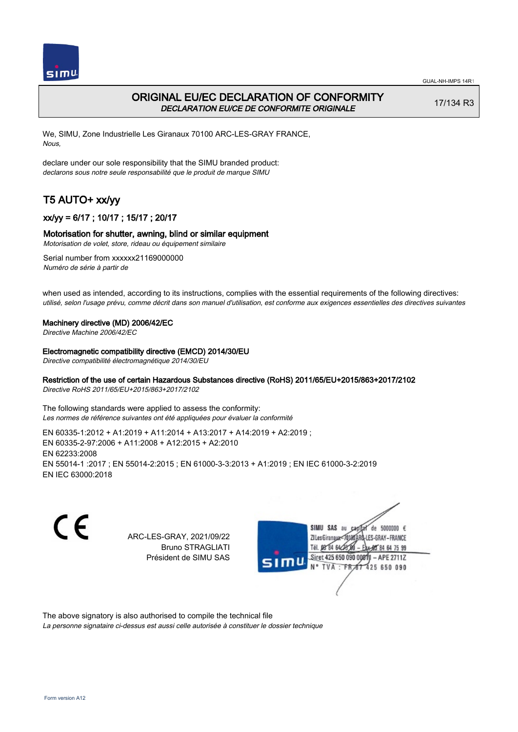

## ORIGINAL EU/EC DECLARATION OF CONFORMITY DECLARATION EU/CE DE CONFORMITE ORIGINALE

17/134 R3

We, SIMU, Zone Industrielle Les Giranaux 70100 ARC-LES-GRAY FRANCE, Nous,

declare under our sole responsibility that the SIMU branded product: declarons sous notre seule responsabilité que le produit de marque SIMU

# T5 AUTO+ xx/yy

## xx/yy = 6/17 ; 10/17 ; 15/17 ; 20/17

### Motorisation for shutter, awning, blind or similar equipment

Motorisation de volet, store, rideau ou équipement similaire

Serial number from xxxxxx21169000000 Numéro de série à partir de

when used as intended, according to its instructions, complies with the essential requirements of the following directives: utilisé, selon l'usage prévu, comme décrit dans son manuel d'utilisation, est conforme aux exigences essentielles des directives suivantes

#### Machinery directive (MD) 2006/42/EC

Directive Machine 2006/42/EC

#### Electromagnetic compatibility directive (EMCD) 2014/30/EU

Directive compatibilité électromagnétique 2014/30/EU

### Restriction of the use of certain Hazardous Substances directive (RoHS) 2011/65/EU+2015/863+2017/2102

Directive RoHS 2011/65/EU+2015/863+2017/2102

The following standards were applied to assess the conformity: Les normes de référence suivantes ont été appliquées pour évaluer la conformité

EN 60335‑1:2012 + A1:2019 + A11:2014 + A13:2017 + A14:2019 + A2:2019 ; EN 60335‑2‑97:2006 + A11:2008 + A12:2015 + A2:2010 EN 62233:2008 EN 55014‑1 :2017 ; EN 55014‑2:2015 ; EN 61000‑3‑3:2013 + A1:2019 ; EN IEC 61000‑3‑2:2019 EN IEC 63000:2018

C E

ARC-LES-GRAY, 2021/09/22 Bruno STRAGLIATI Président de SIMU SAS



The above signatory is also authorised to compile the technical file

La personne signataire ci-dessus est aussi celle autorisée à constituer le dossier technique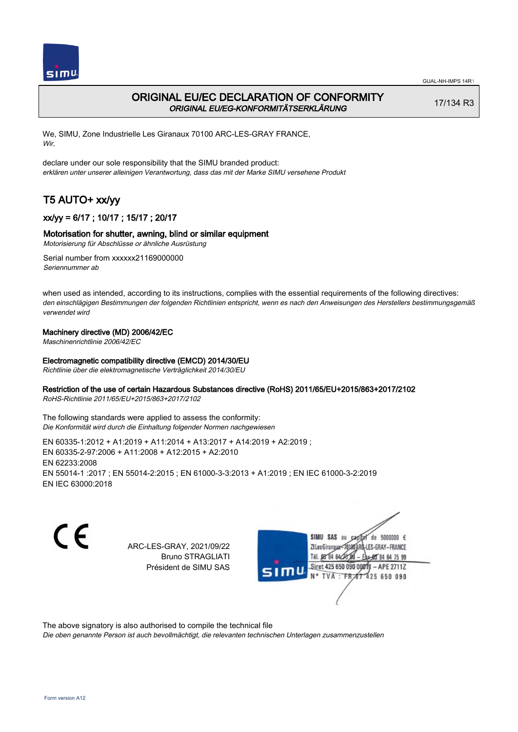

## ORIGINAL EU/EC DECLARATION OF CONFORMITY ORIGINAL EU/EG-KONFORMITÄTSERKLÄRUNG

17/134 R3

We, SIMU, Zone Industrielle Les Giranaux 70100 ARC-LES-GRAY FRANCE, Wir,

declare under our sole responsibility that the SIMU branded product: erklären unter unserer alleinigen Verantwortung, dass das mit der Marke SIMU versehene Produkt

# T5 AUTO+ xx/yy

## xx/yy = 6/17 ; 10/17 ; 15/17 ; 20/17

### Motorisation for shutter, awning, blind or similar equipment

Motorisierung für Abschlüsse or ähnliche Ausrüstung

Serial number from xxxxxx21169000000 Seriennummer ab

when used as intended, according to its instructions, complies with the essential requirements of the following directives: den einschlägigen Bestimmungen der folgenden Richtlinien entspricht, wenn es nach den Anweisungen des Herstellers bestimmungsgemäß verwendet wird

### Machinery directive (MD) 2006/42/EC

Maschinenrichtlinie 2006/42/EC

### Electromagnetic compatibility directive (EMCD) 2014/30/EU

Richtlinie über die elektromagnetische Verträglichkeit 2014/30/EU

### Restriction of the use of certain Hazardous Substances directive (RoHS) 2011/65/EU+2015/863+2017/2102

RoHS-Richtlinie 2011/65/EU+2015/863+2017/2102

The following standards were applied to assess the conformity: Die Konformität wird durch die Einhaltung folgender Normen nachgewiesen

EN 60335‑1:2012 + A1:2019 + A11:2014 + A13:2017 + A14:2019 + A2:2019 ; EN 60335‑2‑97:2006 + A11:2008 + A12:2015 + A2:2010 EN 62233:2008 EN 55014‑1 :2017 ; EN 55014‑2:2015 ; EN 61000‑3‑3:2013 + A1:2019 ; EN IEC 61000‑3‑2:2019 EN IEC 63000:2018

CE

ARC-LES-GRAY, 2021/09/22 Bruno STRAGLIATI Président de SIMU SAS



The above signatory is also authorised to compile the technical file

Die oben genannte Person ist auch bevollmächtigt, die relevanten technischen Unterlagen zusammenzustellen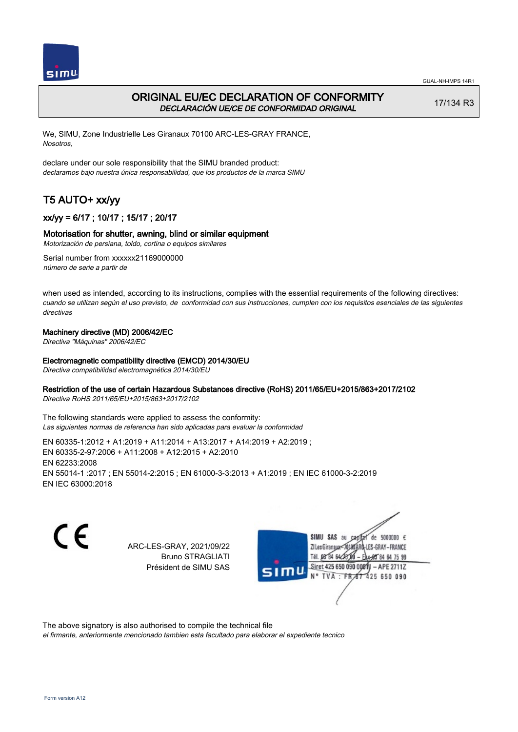



## ORIGINAL EU/EC DECLARATION OF CONFORMITY DECLARACIÓN UE/CE DE CONFORMIDAD ORIGINAL

17/134 R3

We, SIMU, Zone Industrielle Les Giranaux 70100 ARC-LES-GRAY FRANCE, Nosotros,

declare under our sole responsibility that the SIMU branded product: declaramos bajo nuestra única responsabilidad, que los productos de la marca SIMU

# T5 AUTO+ xx/yy

## xx/yy = 6/17 ; 10/17 ; 15/17 ; 20/17

### Motorisation for shutter, awning, blind or similar equipment

Motorización de persiana, toldo, cortina o equipos similares

Serial number from xxxxxx21169000000 número de serie a partir de

when used as intended, according to its instructions, complies with the essential requirements of the following directives: cuando se utilizan según el uso previsto, de conformidad con sus instrucciones, cumplen con los requisitos esenciales de las siguientes directivas

### Machinery directive (MD) 2006/42/EC

Directiva "Máquinas" 2006/42/EC

### Electromagnetic compatibility directive (EMCD) 2014/30/EU

Directiva compatibilidad electromagnética 2014/30/EU

### Restriction of the use of certain Hazardous Substances directive (RoHS) 2011/65/EU+2015/863+2017/2102

Directiva RoHS 2011/65/EU+2015/863+2017/2102

The following standards were applied to assess the conformity: Las siguientes normas de referencia han sido aplicadas para evaluar la conformidad

EN 60335‑1:2012 + A1:2019 + A11:2014 + A13:2017 + A14:2019 + A2:2019 ; EN 60335‑2‑97:2006 + A11:2008 + A12:2015 + A2:2010 EN 62233:2008 EN 55014‑1 :2017 ; EN 55014‑2:2015 ; EN 61000‑3‑3:2013 + A1:2019 ; EN IEC 61000‑3‑2:2019 EN IEC 63000:2018

CE

ARC-LES-GRAY, 2021/09/22 Bruno STRAGLIATI Président de SIMU SAS



The above signatory is also authorised to compile the technical file

el firmante, anteriormente mencionado tambien esta facultado para elaborar el expediente tecnico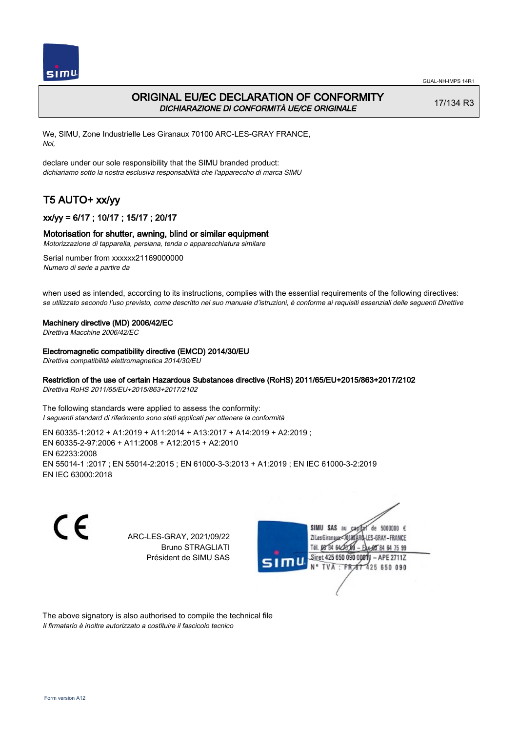

## ORIGINAL EU/EC DECLARATION OF CONFORMITY DICHIARAZIONE DI CONFORMITÀ UE/CE ORIGINALE

17/134 R3

We, SIMU, Zone Industrielle Les Giranaux 70100 ARC-LES-GRAY FRANCE, Noi,

declare under our sole responsibility that the SIMU branded product: dichiariamo sotto la nostra esclusiva responsabilità che l'appareccho di marca SIMU

# T5 AUTO+ xx/yy

## xx/yy = 6/17 ; 10/17 ; 15/17 ; 20/17

### Motorisation for shutter, awning, blind or similar equipment

Motorizzazione di tapparella, persiana, tenda o apparecchiatura similare

Serial number from xxxxxx21169000000 Numero di serie a partire da

when used as intended, according to its instructions, complies with the essential requirements of the following directives: se utilizzato secondo l'uso previsto, come descritto nel suo manuale d'istruzioni, è conforme ai requisiti essenziali delle seguenti Direttive

#### Machinery directive (MD) 2006/42/EC

Direttiva Macchine 2006/42/EC

#### Electromagnetic compatibility directive (EMCD) 2014/30/EU

Direttiva compatibilità elettromagnetica 2014/30/EU

### Restriction of the use of certain Hazardous Substances directive (RoHS) 2011/65/EU+2015/863+2017/2102

Direttiva RoHS 2011/65/EU+2015/863+2017/2102

The following standards were applied to assess the conformity: I seguenti standard di riferimento sono stati applicati per ottenere la conformità

EN 60335‑1:2012 + A1:2019 + A11:2014 + A13:2017 + A14:2019 + A2:2019 ; EN 60335‑2‑97:2006 + A11:2008 + A12:2015 + A2:2010 EN 62233:2008 EN 55014‑1 :2017 ; EN 55014‑2:2015 ; EN 61000‑3‑3:2013 + A1:2019 ; EN IEC 61000‑3‑2:2019 EN IEC 63000:2018

C E

ARC-LES-GRAY, 2021/09/22 Bruno STRAGLIATI Président de SIMU SAS



The above signatory is also authorised to compile the technical file Il firmatario è inoltre autorizzato a costituire il fascicolo tecnico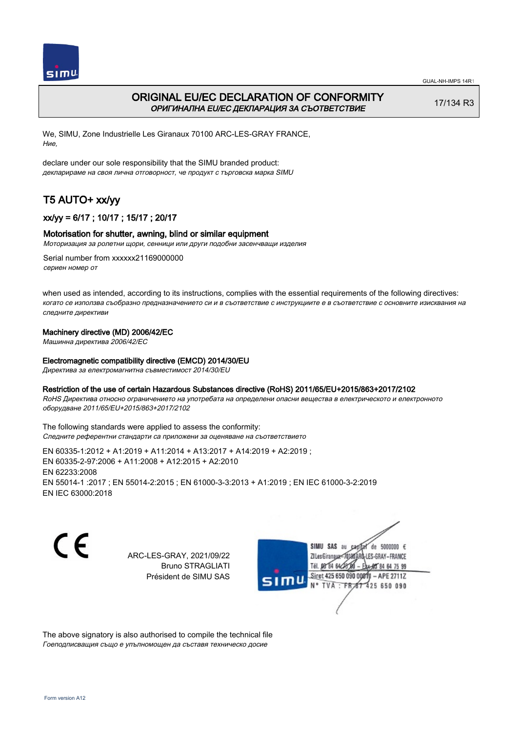

 $simu$ 

GUAL-NH-IMPS 14R1

## ORIGINAL EU/EC DECLARATION OF CONFORMITY ОРИГИНАЛНА EU/EC ДЕКЛАРАЦИЯ ЗА СЪОТВЕТСТВИЕ

17/134 R3

We, SIMU, Zone Industrielle Les Giranaux 70100 ARC-LES-GRAY FRANCE, Ние,

declare under our sole responsibility that the SIMU branded product: декларираме на своя лична отговорност, че продукт с търговска марка SIMU

# T5 AUTO+ xx/yy

## xx/yy = 6/17 ; 10/17 ; 15/17 ; 20/17

### Motorisation for shutter, awning, blind or similar equipment

Моторизация за ролетни щори, сенници или други подобни засенчващи изделия

Serial number from xxxxxx21169000000 сериен номер от

when used as intended, according to its instructions, complies with the essential requirements of the following directives: когато се използва съобразно предназначението си и в съответствие с инструкциите е в съответствие с основните изисквания на следните директиви

### Machinery directive (MD) 2006/42/EC

Машинна директива 2006/42/EC

### Electromagnetic compatibility directive (EMCD) 2014/30/EU

Директива за електромагнитна съвместимост 2014/30/EU

#### Restriction of the use of certain Hazardous Substances directive (RoHS) 2011/65/EU+2015/863+2017/2102

RoHS Директива относно ограничението на употребата на определени опасни вещества в електрическото и електронното оборудване 2011/65/EU+2015/863+2017/2102

The following standards were applied to assess the conformity: Следните референтни стандарти са приложени за оценяване на съответствието

EN 60335‑1:2012 + A1:2019 + A11:2014 + A13:2017 + A14:2019 + A2:2019 ; EN 60335‑2‑97:2006 + A11:2008 + A12:2015 + A2:2010 EN 62233:2008 EN 55014‑1 :2017 ; EN 55014‑2:2015 ; EN 61000‑3‑3:2013 + A1:2019 ; EN IEC 61000‑3‑2:2019 EN IEC 63000:2018

C E

ARC-LES-GRAY, 2021/09/22 Bruno STRAGLIATI Président de SIMU SAS

SIMU SAS au  $cardiz$  de 5000000  $\epsilon$ LES-GRAY-FRANCE ZI Les Giranaux</DJ80AF Tél. 08 84 64 28 584 64 75 99 Siret 425 650 090 008TV  $-$  APE 2711Z N° TVA : FRAT 425 650 090

The above signatory is also authorised to compile the technical file Гоеподписващия също е упълномощен да съставя техническо досие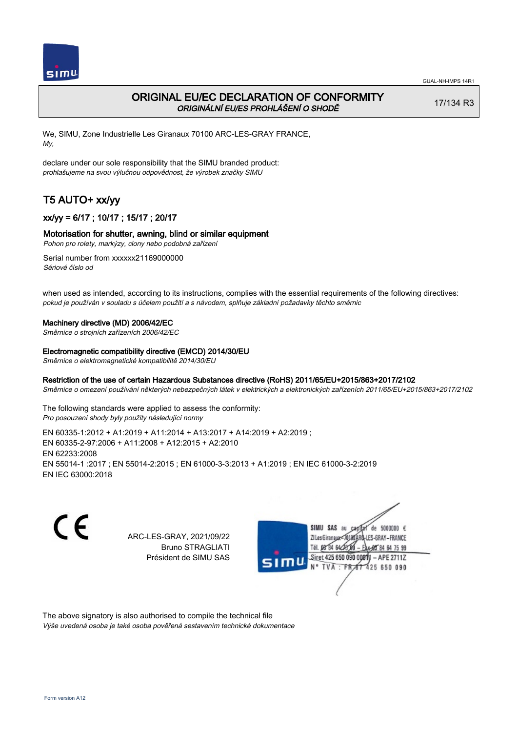

## ORIGINAL EU/EC DECLARATION OF CONFORMITY ORIGINÁLNÍ EU/ES PROHLÁŠENÍ O SHODĚ

17/134 R3

We, SIMU, Zone Industrielle Les Giranaux 70100 ARC-LES-GRAY FRANCE, My,

declare under our sole responsibility that the SIMU branded product: prohlašujeme na svou výlučnou odpovědnost, že výrobek značky SIMU

# T5 AUTO+ xx/yy

## xx/yy = 6/17 ; 10/17 ; 15/17 ; 20/17

### Motorisation for shutter, awning, blind or similar equipment

Pohon pro rolety, markýzy, clony nebo podobná zařízení

Serial number from xxxxxx21169000000 Sériové číslo od

when used as intended, according to its instructions, complies with the essential requirements of the following directives: pokud je používán v souladu s účelem použití a s návodem, splňuje základní požadavky těchto směrnic

#### Machinery directive (MD) 2006/42/EC

Směrnice o strojních zařízeních 2006/42/EC

#### Electromagnetic compatibility directive (EMCD) 2014/30/EU

Směrnice o elektromagnetické kompatibilitě 2014/30/EU

### Restriction of the use of certain Hazardous Substances directive (RoHS) 2011/65/EU+2015/863+2017/2102

Směrnice o omezení používání některých nebezpečných látek v elektrických a elektronických zařízeních 2011/65/EU+2015/863+2017/2102

The following standards were applied to assess the conformity: Pro posouzení shody byly použity následující normy

EN 60335‑1:2012 + A1:2019 + A11:2014 + A13:2017 + A14:2019 + A2:2019 ; EN 60335‑2‑97:2006 + A11:2008 + A12:2015 + A2:2010 EN 62233:2008 EN 55014‑1 :2017 ; EN 55014‑2:2015 ; EN 61000‑3‑3:2013 + A1:2019 ; EN IEC 61000‑3‑2:2019 EN IEC 63000:2018

C E

ARC-LES-GRAY, 2021/09/22 Bruno STRAGLIATI Président de SIMU SAS



The above signatory is also authorised to compile the technical file Výše uvedená osoba je také osoba pověřená sestavením technické dokumentace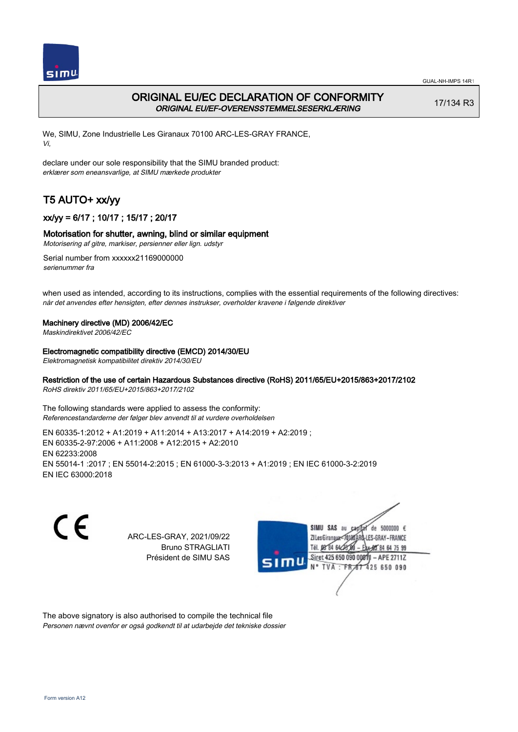

## ORIGINAL EU/EC DECLARATION OF CONFORMITY ORIGINAL EU/EF-OVERENSSTEMMELSESERKLÆRING

17/134 R3

We, SIMU, Zone Industrielle Les Giranaux 70100 ARC-LES-GRAY FRANCE, Vi,

declare under our sole responsibility that the SIMU branded product: erklærer som eneansvarlige, at SIMU mærkede produkter

# T5 AUTO+ xx/yy

 $simu$ 

## xx/yy = 6/17 ; 10/17 ; 15/17 ; 20/17

### Motorisation for shutter, awning, blind or similar equipment

Motorisering af gitre, markiser, persienner eller lign. udstyr

Serial number from xxxxxx21169000000 serienummer fra

when used as intended, according to its instructions, complies with the essential requirements of the following directives: når det anvendes efter hensigten, efter dennes instrukser, overholder kravene i følgende direktiver

### Machinery directive (MD) 2006/42/EC

Maskindirektivet 2006/42/EC

#### Electromagnetic compatibility directive (EMCD) 2014/30/EU

Elektromagnetisk kompatibilitet direktiv 2014/30/EU

### Restriction of the use of certain Hazardous Substances directive (RoHS) 2011/65/EU+2015/863+2017/2102

RoHS direktiv 2011/65/EU+2015/863+2017/2102

The following standards were applied to assess the conformity: Referencestandarderne der følger blev anvendt til at vurdere overholdelsen

EN 60335‑1:2012 + A1:2019 + A11:2014 + A13:2017 + A14:2019 + A2:2019 ; EN 60335‑2‑97:2006 + A11:2008 + A12:2015 + A2:2010 EN 62233:2008 EN 55014‑1 :2017 ; EN 55014‑2:2015 ; EN 61000‑3‑3:2013 + A1:2019 ; EN IEC 61000‑3‑2:2019 EN IEC 63000:2018



ARC-LES-GRAY, 2021/09/22 Bruno STRAGLIATI Président de SIMU SAS



The above signatory is also authorised to compile the technical file Personen nævnt ovenfor er også godkendt til at udarbejde det tekniske dossier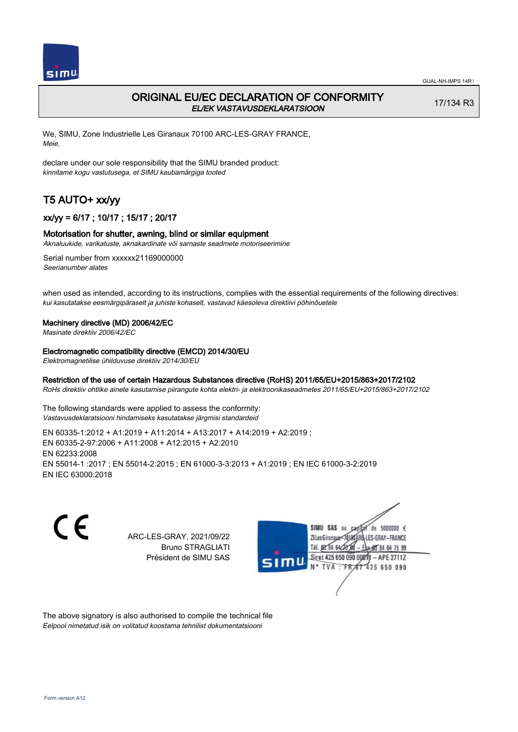

## ORIGINAL EU/EC DECLARATION OF CONFORMITY EL/EK VASTAVUSDEKLARATSIOON

17/134 R3

We, SIMU, Zone Industrielle Les Giranaux 70100 ARC-LES-GRAY FRANCE, Meie,

declare under our sole responsibility that the SIMU branded product: kinnitame kogu vastutusega, et SIMU kaubamärgiga tooted

# T5 AUTO+ xx/yy

## xx/yy = 6/17 ; 10/17 ; 15/17 ; 20/17

### Motorisation for shutter, awning, blind or similar equipment

Aknaluukide, varikatuste, aknakardinate või sarnaste seadmete motoriseerimine

Serial number from xxxxxx21169000000 Seerianumber alates

when used as intended, according to its instructions, complies with the essential requirements of the following directives: kui kasutatakse eesmärgipäraselt ja juhiste kohaselt, vastavad käesoleva direktiivi põhinõuetele

#### Machinery directive (MD) 2006/42/EC

Masinate direktiiv 2006/42/EC

#### Electromagnetic compatibility directive (EMCD) 2014/30/EU

Elektromagnetilise ühilduvuse direktiiv 2014/30/EU

#### Restriction of the use of certain Hazardous Substances directive (RoHS) 2011/65/EU+2015/863+2017/2102

RoHs direktiiv ohtlike ainete kasutamise piirangute kohta elektri- ja elektroonikaseadmetes 2011/65/EU+2015/863+2017/2102

The following standards were applied to assess the conformity: Vastavusdeklaratsiooni hindamiseks kasutatakse järgmisi standardeid

EN 60335‑1:2012 + A1:2019 + A11:2014 + A13:2017 + A14:2019 + A2:2019 ; EN 60335‑2‑97:2006 + A11:2008 + A12:2015 + A2:2010 EN 62233:2008 EN 55014‑1 :2017 ; EN 55014‑2:2015 ; EN 61000‑3‑3:2013 + A1:2019 ; EN IEC 61000‑3‑2:2019 EN IEC 63000:2018

C E

ARC-LES-GRAY, 2021/09/22 Bruno STRAGLIATI Président de SIMU SAS



The above signatory is also authorised to compile the technical file Eelpool nimetatud isik on volitatud koostama tehnilist dokumentatsiooni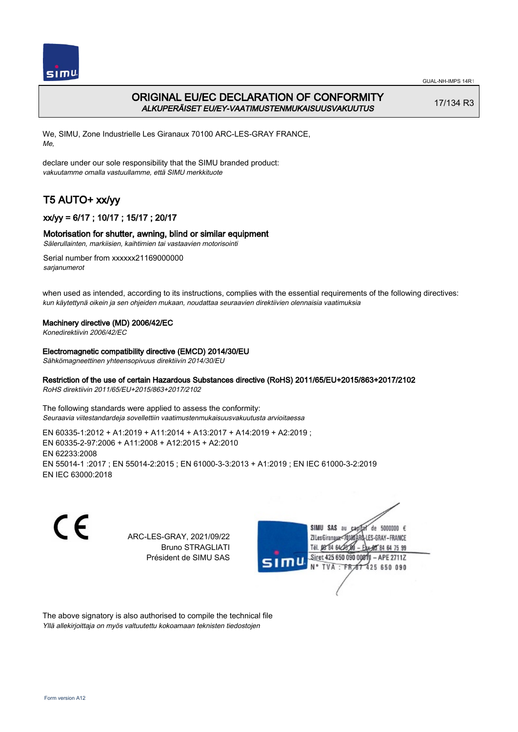

## ORIGINAL EU/EC DECLARATION OF CONFORMITY ALKUPERÄISET EU/EY-VAATIMUSTENMUKAISUUSVAKUUTUS

17/134 R3

We, SIMU, Zone Industrielle Les Giranaux 70100 ARC-LES-GRAY FRANCE, Me,

declare under our sole responsibility that the SIMU branded product: vakuutamme omalla vastuullamme, että SIMU merkkituote

# T5 AUTO+ xx/yy

## xx/yy = 6/17 ; 10/17 ; 15/17 ; 20/17

### Motorisation for shutter, awning, blind or similar equipment

Sälerullainten, markiisien, kaihtimien tai vastaavien motorisointi

Serial number from xxxxxx21169000000 sarjanumerot

when used as intended, according to its instructions, complies with the essential requirements of the following directives: kun käytettynä oikein ja sen ohjeiden mukaan, noudattaa seuraavien direktiivien olennaisia vaatimuksia

### Machinery directive (MD) 2006/42/EC

Konedirektiivin 2006/42/EC

#### Electromagnetic compatibility directive (EMCD) 2014/30/EU

Sähkömagneettinen yhteensopivuus direktiivin 2014/30/EU

## Restriction of the use of certain Hazardous Substances directive (RoHS) 2011/65/EU+2015/863+2017/2102

RoHS direktiivin 2011/65/EU+2015/863+2017/2102

The following standards were applied to assess the conformity: Seuraavia viitestandardeja sovellettiin vaatimustenmukaisuusvakuutusta arvioitaessa

EN 60335‑1:2012 + A1:2019 + A11:2014 + A13:2017 + A14:2019 + A2:2019 ; EN 60335‑2‑97:2006 + A11:2008 + A12:2015 + A2:2010 EN 62233:2008 EN 55014‑1 :2017 ; EN 55014‑2:2015 ; EN 61000‑3‑3:2013 + A1:2019 ; EN IEC 61000‑3‑2:2019 EN IEC 63000:2018



ARC-LES-GRAY, 2021/09/22 Bruno STRAGLIATI Président de SIMU SAS



The above signatory is also authorised to compile the technical file Yllä allekirjoittaja on myös valtuutettu kokoamaan teknisten tiedostojen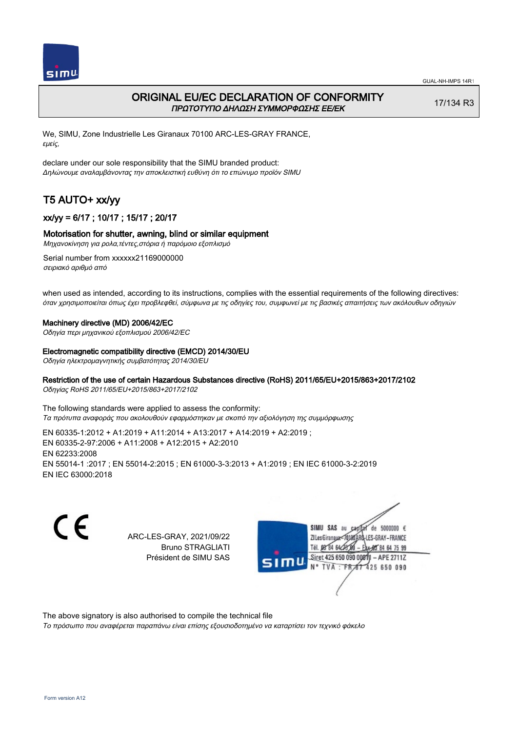

## ORIGINAL EU/EC DECLARATION OF CONFORMITY ΠΡΩΤΟΤΥΠΟ ΔΗΛΩΣΗ ΣΥΜΜΟΡΦΩΣΗΣ ΕΕ/EK

17/134 R3

We, SIMU, Zone Industrielle Les Giranaux 70100 ARC-LES-GRAY FRANCE, εμείς,

declare under our sole responsibility that the SIMU branded product: Δηλώνουμε αναλαμβάνοντας την αποκλειστική ευθύνη ότι το επώνυμο προϊόν SIMU

# T5 AUTO+ xx/yy

## xx/yy = 6/17 ; 10/17 ; 15/17 ; 20/17

### Motorisation for shutter, awning, blind or similar equipment

Μηχανοκίνηση για ρολα,τέντες,στόρια ή παρόμοιο εξοπλισμό

Serial number from xxxxxx21169000000 σειριακό αριθμό από

when used as intended, according to its instructions, complies with the essential requirements of the following directives: όταν χρησιμοποιείται όπως έχει προβλεφθεί, σύμφωνα με τις οδηγίες του, συμφωνεί με τις βασικές απαιτήσεις των ακόλουθων οδηγιών

#### Machinery directive (MD) 2006/42/EC

Οδηγία περι μηχανικού εξοπλισμού 2006/42/EC

#### Electromagnetic compatibility directive (EMCD) 2014/30/EU

Οδηγία ηλεκτρομαγνητικής συμβατότητας 2014/30/EU

### Restriction of the use of certain Hazardous Substances directive (RoHS) 2011/65/EU+2015/863+2017/2102

Οδηγίας RoHS 2011/65/EU+2015/863+2017/2102

The following standards were applied to assess the conformity: Τα πρότυπα αναφοράς που ακολουθούν εφαρμόστηκαν με σκοπό την αξιολόγηση της συμμόρφωσης

EN 60335‑1:2012 + A1:2019 + A11:2014 + A13:2017 + A14:2019 + A2:2019 ; EN 60335‑2‑97:2006 + A11:2008 + A12:2015 + A2:2010 EN 62233:2008 EN 55014‑1 :2017 ; EN 55014‑2:2015 ; EN 61000‑3‑3:2013 + A1:2019 ; EN IEC 61000‑3‑2:2019 EN IEC 63000:2018

C E

ARC-LES-GRAY, 2021/09/22 Bruno STRAGLIATI Président de SIMU SAS



The above signatory is also authorised to compile the technical file

Το πρόσωπο που αναφέρεται παραπάνω είναι επίσης εξουσιοδοτημένο να καταρτίσει τον τεχνικό φάκελο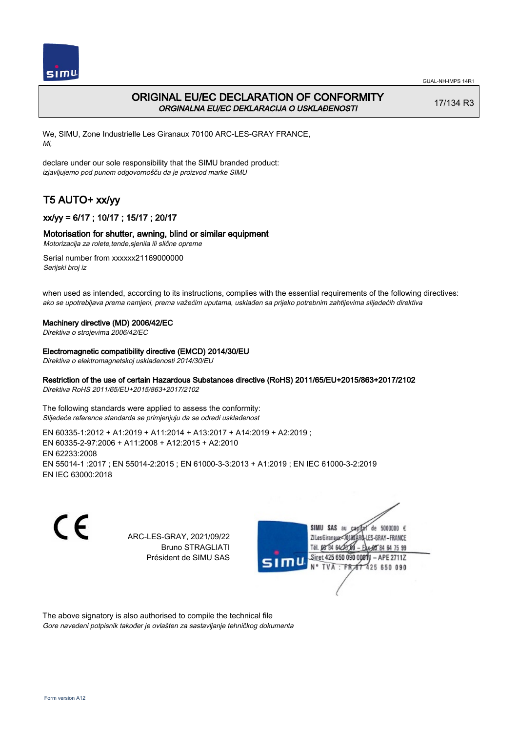

## ORIGINAL EU/EC DECLARATION OF CONFORMITY ORGINALNA EU/EC DEKLARACIJA O USKLAĐENOSTI

17/134 R3

We, SIMU, Zone Industrielle Les Giranaux 70100 ARC-LES-GRAY FRANCE, Mi,

declare under our sole responsibility that the SIMU branded product: izjavljujemo pod punom odgovornošču da je proizvod marke SIMU

# T5 AUTO+ xx/yy

## xx/yy = 6/17 ; 10/17 ; 15/17 ; 20/17

### Motorisation for shutter, awning, blind or similar equipment

Motorizacija za rolete,tende,sjenila ili slične opreme

Serial number from xxxxxx21169000000 Serijski broj iz

when used as intended, according to its instructions, complies with the essential requirements of the following directives: ako se upotrebljava prema namjeni, prema važećim uputama, usklađen sa prijeko potrebnim zahtijevima slijedećih direktiva

#### Machinery directive (MD) 2006/42/EC

Direktiva o strojevima 2006/42/EC

#### Electromagnetic compatibility directive (EMCD) 2014/30/EU

Direktiva o elektromagnetskoj usklađenosti 2014/30/EU

## Restriction of the use of certain Hazardous Substances directive (RoHS) 2011/65/EU+2015/863+2017/2102

Direktiva RoHS 2011/65/EU+2015/863+2017/2102

The following standards were applied to assess the conformity: Slijedeće reference standarda se primjenjuju da se odredi usklađenost

EN 60335‑1:2012 + A1:2019 + A11:2014 + A13:2017 + A14:2019 + A2:2019 ; EN 60335‑2‑97:2006 + A11:2008 + A12:2015 + A2:2010 EN 62233:2008 EN 55014‑1 :2017 ; EN 55014‑2:2015 ; EN 61000‑3‑3:2013 + A1:2019 ; EN IEC 61000‑3‑2:2019 EN IEC 63000:2018

C E

ARC-LES-GRAY, 2021/09/22 Bruno STRAGLIATI Président de SIMU SAS



The above signatory is also authorised to compile the technical file Gore navedeni potpisnik također je ovlašten za sastavljanje tehničkog dokumenta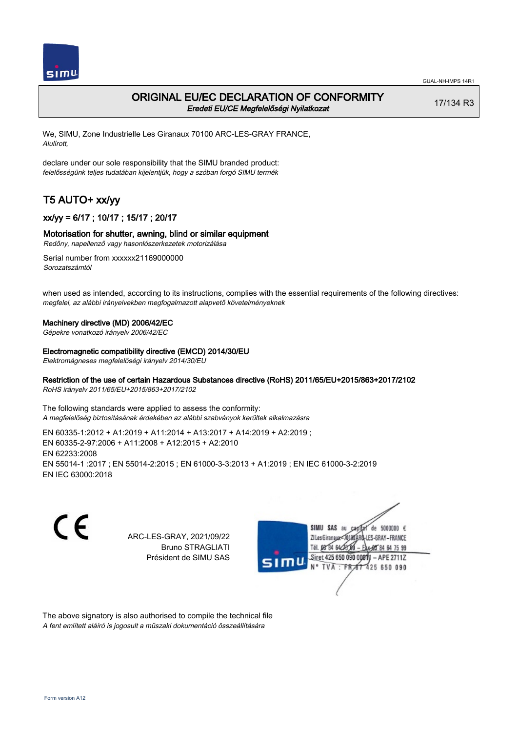

## ORIGINAL EU/EC DECLARATION OF CONFORMITY Eredeti EU/CE Megfelelőségi Nyilatkozat

17/134 R3

We, SIMU, Zone Industrielle Les Giranaux 70100 ARC-LES-GRAY FRANCE, Alulírott,

declare under our sole responsibility that the SIMU branded product: felelősségünk teljes tudatában kijelentjük, hogy a szóban forgó SIMU termék

# T5 AUTO+ xx/yy

## xx/yy = 6/17 ; 10/17 ; 15/17 ; 20/17

### Motorisation for shutter, awning, blind or similar equipment

Redőny, napellenző vagy hasonlószerkezetek motorizálása

Serial number from xxxxxx21169000000 Sorozatszámtól

when used as intended, according to its instructions, complies with the essential requirements of the following directives: megfelel, az alábbi irányelvekben megfogalmazott alapvető követelményeknek

#### Machinery directive (MD) 2006/42/EC

Gépekre vonatkozó irányelv 2006/42/EC

#### Electromagnetic compatibility directive (EMCD) 2014/30/EU

Elektromágneses megfelelőségi irányelv 2014/30/EU

#### Restriction of the use of certain Hazardous Substances directive (RoHS) 2011/65/EU+2015/863+2017/2102

RoHS irányelv 2011/65/EU+2015/863+2017/2102

The following standards were applied to assess the conformity: A megfelelőség biztosításának érdekében az alábbi szabványok kerültek alkalmazásra

EN 60335‑1:2012 + A1:2019 + A11:2014 + A13:2017 + A14:2019 + A2:2019 ; EN 60335‑2‑97:2006 + A11:2008 + A12:2015 + A2:2010 EN 62233:2008 EN 55014‑1 :2017 ; EN 55014‑2:2015 ; EN 61000‑3‑3:2013 + A1:2019 ; EN IEC 61000‑3‑2:2019 EN IEC 63000:2018

C E

ARC-LES-GRAY, 2021/09/22 Bruno STRAGLIATI Président de SIMU SAS



The above signatory is also authorised to compile the technical file A fent említett aláíró is jogosult a műszaki dokumentáció összeállítására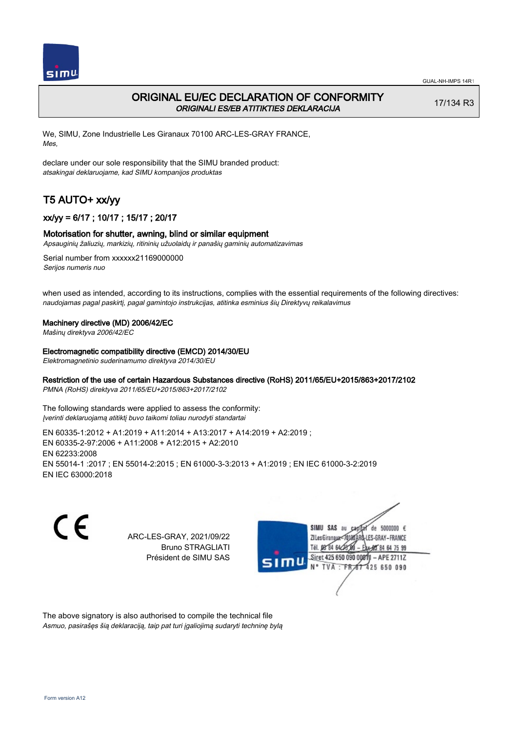

## ORIGINAL EU/EC DECLARATION OF CONFORMITY ORIGINALI ES/EB ATITIKTIES DEKLARACIJA

17/134 R3

We, SIMU, Zone Industrielle Les Giranaux 70100 ARC-LES-GRAY FRANCE, Mes,

declare under our sole responsibility that the SIMU branded product: atsakingai deklaruojame, kad SIMU kompanijos produktas

# T5 AUTO+ xx/yy

## xx/yy = 6/17 ; 10/17 ; 15/17 ; 20/17

#### Motorisation for shutter, awning, blind or similar equipment

Apsauginių žaliuzių, markizių, ritininių užuolaidų ir panašių gaminių automatizavimas

Serial number from xxxxxx21169000000 Serijos numeris nuo

when used as intended, according to its instructions, complies with the essential requirements of the following directives: naudojamas pagal paskirtį, pagal gamintojo instrukcijas, atitinka esminius šių Direktyvų reikalavimus

#### Machinery directive (MD) 2006/42/EC

Mašinų direktyva 2006/42/EC

Electromagnetic compatibility directive (EMCD) 2014/30/EU

Elektromagnetinio suderinamumo direktyva 2014/30/EU

## Restriction of the use of certain Hazardous Substances directive (RoHS) 2011/65/EU+2015/863+2017/2102

PMNA (RoHS) direktyva 2011/65/EU+2015/863+2017/2102

The following standards were applied to assess the conformity: Įverinti deklaruojamą atitiktį buvo taikomi toliau nurodyti standartai

EN 60335‑1:2012 + A1:2019 + A11:2014 + A13:2017 + A14:2019 + A2:2019 ; EN 60335‑2‑97:2006 + A11:2008 + A12:2015 + A2:2010 EN 62233:2008 EN 55014‑1 :2017 ; EN 55014‑2:2015 ; EN 61000‑3‑3:2013 + A1:2019 ; EN IEC 61000‑3‑2:2019 EN IEC 63000:2018

C E

ARC-LES-GRAY, 2021/09/22 Bruno STRAGLIATI Président de SIMU SAS



The above signatory is also authorised to compile the technical file Asmuo, pasirašęs šią deklaraciją, taip pat turi įgaliojimą sudaryti techninę bylą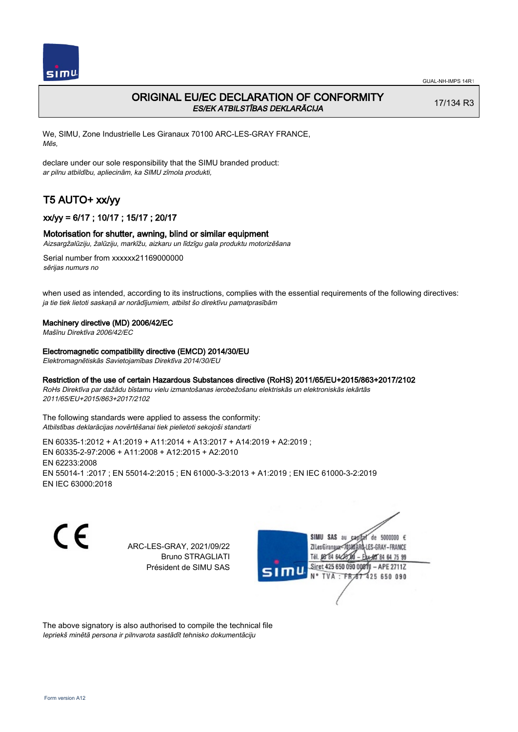

## ORIGINAL EU/EC DECLARATION OF CONFORMITY ES/EK ATBILSTĪBAS DEKLARĀCIJA

17/134 R3

We, SIMU, Zone Industrielle Les Giranaux 70100 ARC-LES-GRAY FRANCE, Mēs,

declare under our sole responsibility that the SIMU branded product: ar pilnu atbildību, apliecinām, ka SIMU zīmola produkti,

# T5 AUTO+ xx/yy

## xx/yy = 6/17 ; 10/17 ; 15/17 ; 20/17

#### Motorisation for shutter, awning, blind or similar equipment

Aizsargžalūziju, žalūziju, markīžu, aizkaru un līdzīgu gala produktu motorizēšana

Serial number from xxxxxx21169000000 sērijas numurs no

when used as intended, according to its instructions, complies with the essential requirements of the following directives: ja tie tiek lietoti saskaņā ar norādījumiem, atbilst šo direktīvu pamatprasībām

#### Machinery directive (MD) 2006/42/EC

Mašīnu Direktīva 2006/42/EC

Electromagnetic compatibility directive (EMCD) 2014/30/EU

Elektromagnētiskās Savietojamības Direktīva 2014/30/EU

#### Restriction of the use of certain Hazardous Substances directive (RoHS) 2011/65/EU+2015/863+2017/2102

RoHs Direktīva par dažādu bīstamu vielu izmantošanas ierobežošanu elektriskās un elektroniskās iekārtās 2011/65/EU+2015/863+2017/2102

The following standards were applied to assess the conformity: Atbilstības deklarācijas novērtēšanai tiek pielietoti sekojoši standarti

EN 60335‑1:2012 + A1:2019 + A11:2014 + A13:2017 + A14:2019 + A2:2019 ; EN 60335‑2‑97:2006 + A11:2008 + A12:2015 + A2:2010 EN 62233:2008 EN 55014‑1 :2017 ; EN 55014‑2:2015 ; EN 61000‑3‑3:2013 + A1:2019 ; EN IEC 61000‑3‑2:2019 EN IEC 63000:2018

CE

ARC-LES-GRAY, 2021/09/22 Bruno STRAGLIATI Président de SIMU SAS



The above signatory is also authorised to compile the technical file Iepriekš minētā persona ir pilnvarota sastādīt tehnisko dokumentāciju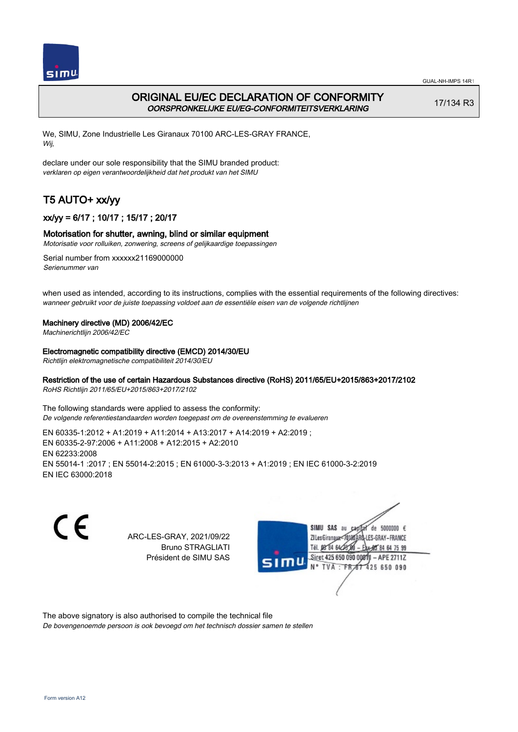

## ORIGINAL EU/EC DECLARATION OF CONFORMITY OORSPRONKELIJKE EU/EG-CONFORMITEITSVERKLARING

17/134 R3

We, SIMU, Zone Industrielle Les Giranaux 70100 ARC-LES-GRAY FRANCE, Wij,

declare under our sole responsibility that the SIMU branded product: verklaren op eigen verantwoordelijkheid dat het produkt van het SIMU

# T5 AUTO+ xx/yy

## xx/yy = 6/17 ; 10/17 ; 15/17 ; 20/17

### Motorisation for shutter, awning, blind or similar equipment

Motorisatie voor rolluiken, zonwering, screens of gelijkaardige toepassingen

Serial number from xxxxxx21169000000 Serienummer van

when used as intended, according to its instructions, complies with the essential requirements of the following directives: wanneer gebruikt voor de juiste toepassing voldoet aan de essentiële eisen van de volgende richtlijnen

### Machinery directive (MD) 2006/42/EC

Machinerichtlijn 2006/42/EC

Electromagnetic compatibility directive (EMCD) 2014/30/EU

Richtlijn elektromagnetische compatibiliteit 2014/30/EU

### Restriction of the use of certain Hazardous Substances directive (RoHS) 2011/65/EU+2015/863+2017/2102

RoHS Richtlijn 2011/65/EU+2015/863+2017/2102

The following standards were applied to assess the conformity: De volgende referentiestandaarden worden toegepast om de overeenstemming te evalueren

EN 60335‑1:2012 + A1:2019 + A11:2014 + A13:2017 + A14:2019 + A2:2019 ; EN 60335‑2‑97:2006 + A11:2008 + A12:2015 + A2:2010 EN 62233:2008 EN 55014‑1 :2017 ; EN 55014‑2:2015 ; EN 61000‑3‑3:2013 + A1:2019 ; EN IEC 61000‑3‑2:2019 EN IEC 63000:2018

C E

ARC-LES-GRAY, 2021/09/22 Bruno STRAGLIATI Président de SIMU SAS



The above signatory is also authorised to compile the technical file

De bovengenoemde persoon is ook bevoegd om het technisch dossier samen te stellen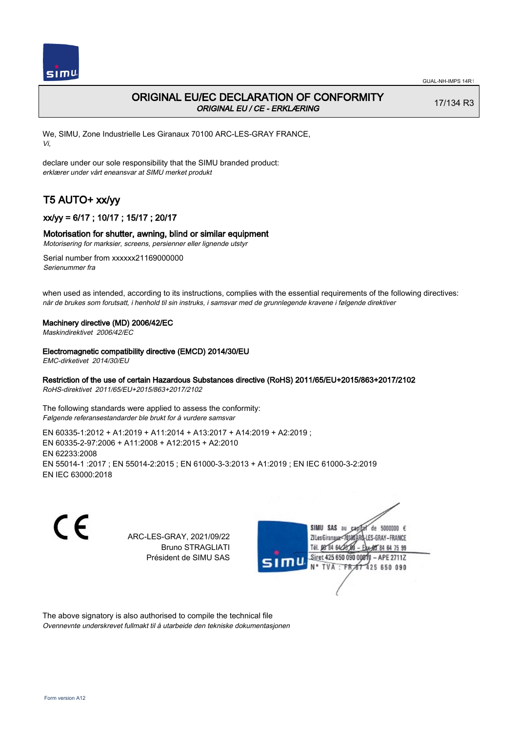

## ORIGINAL EU/EC DECLARATION OF CONFORMITY ORIGINAL EU / CE - ERKLÆRING

17/134 R3

We, SIMU, Zone Industrielle Les Giranaux 70100 ARC-LES-GRAY FRANCE, Vi,

declare under our sole responsibility that the SIMU branded product: erklærer under vårt eneansvar at SIMU merket produkt

# T5 AUTO+ xx/yy

## xx/yy = 6/17 ; 10/17 ; 15/17 ; 20/17

### Motorisation for shutter, awning, blind or similar equipment

Motorisering for marksier, screens, persienner eller lignende utstyr

Serial number from xxxxxx21169000000 Serienummer fra

when used as intended, according to its instructions, complies with the essential requirements of the following directives: når de brukes som forutsatt, i henhold til sin instruks, i samsvar med de grunnlegende kravene i følgende direktiver

#### Machinery directive (MD) 2006/42/EC

Maskindirektivet 2006/42/EC

#### Electromagnetic compatibility directive (EMCD) 2014/30/EU

EMC-dirketivet 2014/30/EU

### Restriction of the use of certain Hazardous Substances directive (RoHS) 2011/65/EU+2015/863+2017/2102

RoHS-direktivet 2011/65/EU+2015/863+2017/2102

The following standards were applied to assess the conformity: Følgende referansestandarder ble brukt for å vurdere samsvar

EN 60335‑1:2012 + A1:2019 + A11:2014 + A13:2017 + A14:2019 + A2:2019 ; EN 60335‑2‑97:2006 + A11:2008 + A12:2015 + A2:2010 EN 62233:2008 EN 55014‑1 :2017 ; EN 55014‑2:2015 ; EN 61000‑3‑3:2013 + A1:2019 ; EN IEC 61000‑3‑2:2019 EN IEC 63000:2018

C E

ARC-LES-GRAY, 2021/09/22 Bruno STRAGLIATI Président de SIMU SAS



The above signatory is also authorised to compile the technical file Ovennevnte underskrevet fullmakt til å utarbeide den tekniske dokumentasjonen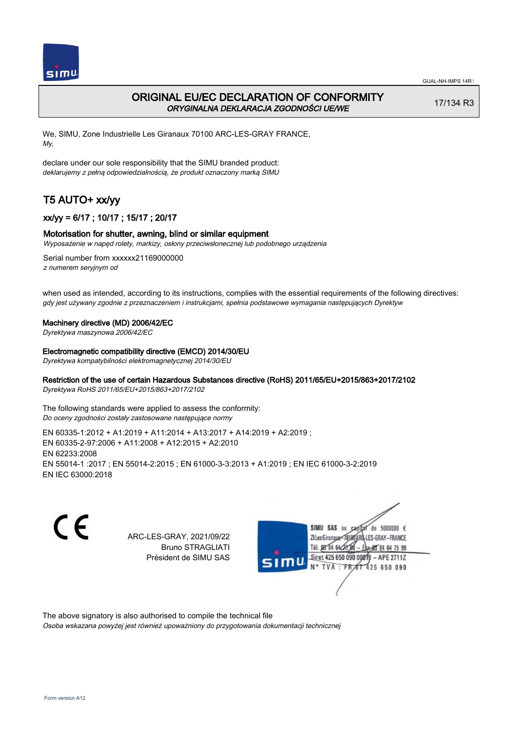

## ORIGINAL EU/EC DECLARATION OF CONFORMITY ORYGINALNA DEKLARACJA ZGODNOŚCI UE/WE

17/134 R3

We, SIMU, Zone Industrielle Les Giranaux 70100 ARC-LES-GRAY FRANCE, My,

declare under our sole responsibility that the SIMU branded product: deklarujemy z pełną odpowiedzialnością, że produkt oznaczony marką SIMU

# T5 AUTO+ xx/yy

## xx/yy = 6/17 ; 10/17 ; 15/17 ; 20/17

### Motorisation for shutter, awning, blind or similar equipment

Wyposażenie w napęd rolety, markizy, osłony przeciwsłonecznej lub podobnego urządzenia

Serial number from xxxxxx21169000000 z numerem seryjnym od

when used as intended, according to its instructions, complies with the essential requirements of the following directives: gdy jest używany zgodnie z przeznaczeniem i instrukcjami, spełnia podstawowe wymagania następujących Dyrektyw

#### Machinery directive (MD) 2006/42/EC

Dyrektywa maszynowa 2006/42/EC

#### Electromagnetic compatibility directive (EMCD) 2014/30/EU

Dyrektywa kompatybilności elektromagnetycznej 2014/30/EU

### Restriction of the use of certain Hazardous Substances directive (RoHS) 2011/65/EU+2015/863+2017/2102

Dyrektywa RoHS 2011/65/EU+2015/863+2017/2102

The following standards were applied to assess the conformity: Do oceny zgodności zostały zastosowane następujące normy

EN 60335‑1:2012 + A1:2019 + A11:2014 + A13:2017 + A14:2019 + A2:2019 ; EN 60335‑2‑97:2006 + A11:2008 + A12:2015 + A2:2010 EN 62233:2008 EN 55014‑1 :2017 ; EN 55014‑2:2015 ; EN 61000‑3‑3:2013 + A1:2019 ; EN IEC 61000‑3‑2:2019 EN IEC 63000:2018

C E

ARC-LES-GRAY, 2021/09/22 Bruno STRAGLIATI Président de SIMU SAS



The above signatory is also authorised to compile the technical file

Osoba wskazana powyżej jest również upoważniony do przygotowania dokumentacji technicznej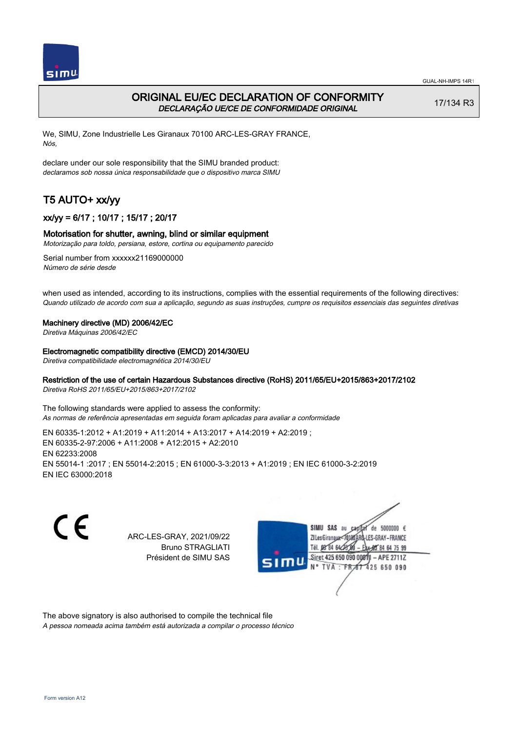

## ORIGINAL EU/EC DECLARATION OF CONFORMITY DECLARAÇÃO UE/CE DE CONFORMIDADE ORIGINAL

17/134 R3

We, SIMU, Zone Industrielle Les Giranaux 70100 ARC-LES-GRAY FRANCE, Nós,

declare under our sole responsibility that the SIMU branded product: declaramos sob nossa única responsabilidade que o dispositivo marca SIMU

# T5 AUTO+ xx/yy

## xx/yy = 6/17 ; 10/17 ; 15/17 ; 20/17

### Motorisation for shutter, awning, blind or similar equipment

Motorização para toldo, persiana, estore, cortina ou equipamento parecido

Serial number from xxxxxx21169000000 Número de série desde

when used as intended, according to its instructions, complies with the essential requirements of the following directives: Quando utilizado de acordo com sua a aplicação, segundo as suas instruções, cumpre os requisitos essenciais das seguintes diretivas

#### Machinery directive (MD) 2006/42/EC

Diretiva Máquinas 2006/42/EC

Electromagnetic compatibility directive (EMCD) 2014/30/EU

Diretiva compatibilidade electromagnética 2014/30/EU

### Restriction of the use of certain Hazardous Substances directive (RoHS) 2011/65/EU+2015/863+2017/2102

Diretiva RoHS 2011/65/EU+2015/863+2017/2102

The following standards were applied to assess the conformity: As normas de referência apresentadas em seguida foram aplicadas para avaliar a conformidade

EN 60335‑1:2012 + A1:2019 + A11:2014 + A13:2017 + A14:2019 + A2:2019 ; EN 60335‑2‑97:2006 + A11:2008 + A12:2015 + A2:2010 EN 62233:2008 EN 55014‑1 :2017 ; EN 55014‑2:2015 ; EN 61000‑3‑3:2013 + A1:2019 ; EN IEC 61000‑3‑2:2019 EN IEC 63000:2018

C E

ARC-LES-GRAY, 2021/09/22 Bruno STRAGLIATI Président de SIMU SAS



The above signatory is also authorised to compile the technical file

A pessoa nomeada acima também está autorizada a compilar o processo técnico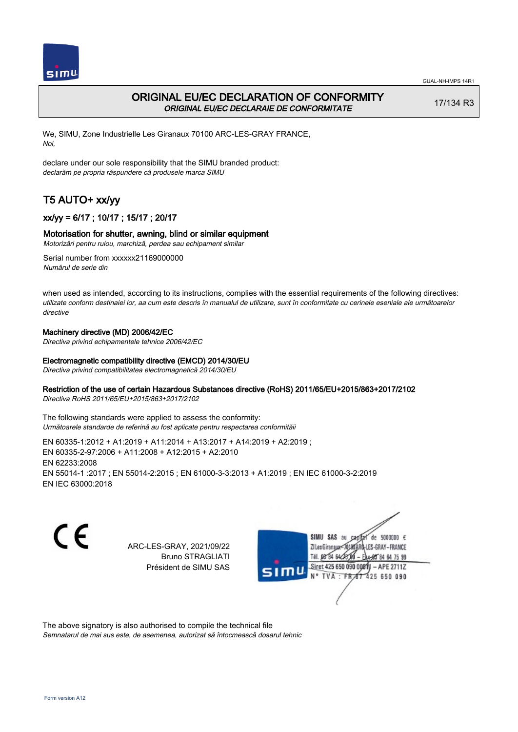

## ORIGINAL EU/EC DECLARATION OF CONFORMITY ORIGINAL EU/EC DECLARAIE DE CONFORMITATE

17/134 R3

We, SIMU, Zone Industrielle Les Giranaux 70100 ARC-LES-GRAY FRANCE, Noi,

declare under our sole responsibility that the SIMU branded product: declarăm pe propria răspundere că produsele marca SIMU

# T5 AUTO+ xx/yy

## xx/yy = 6/17 ; 10/17 ; 15/17 ; 20/17

### Motorisation for shutter, awning, blind or similar equipment

Motorizări pentru rulou, marchiză, perdea sau echipament similar

Serial number from xxxxxx21169000000 Numărul de serie din

when used as intended, according to its instructions, complies with the essential requirements of the following directives: utilizate conform destinaiei lor, aa cum este descris în manualul de utilizare, sunt în conformitate cu cerinele eseniale ale următoarelor directive

### Machinery directive (MD) 2006/42/EC

Directiva privind echipamentele tehnice 2006/42/EC

### Electromagnetic compatibility directive (EMCD) 2014/30/EU

Directiva privind compatibilitatea electromagnetică 2014/30/EU

### Restriction of the use of certain Hazardous Substances directive (RoHS) 2011/65/EU+2015/863+2017/2102

Directiva RoHS 2011/65/EU+2015/863+2017/2102

The following standards were applied to assess the conformity: Următoarele standarde de referină au fost aplicate pentru respectarea conformităii

EN 60335‑1:2012 + A1:2019 + A11:2014 + A13:2017 + A14:2019 + A2:2019 ; EN 60335‑2‑97:2006 + A11:2008 + A12:2015 + A2:2010 EN 62233:2008 EN 55014‑1 :2017 ; EN 55014‑2:2015 ; EN 61000‑3‑3:2013 + A1:2019 ; EN IEC 61000‑3‑2:2019 EN IEC 63000:2018

CE

ARC-LES-GRAY, 2021/09/22 Bruno STRAGLIATI Président de SIMU SAS



The above signatory is also authorised to compile the technical file

Semnatarul de mai sus este, de asemenea, autorizat să întocmească dosarul tehnic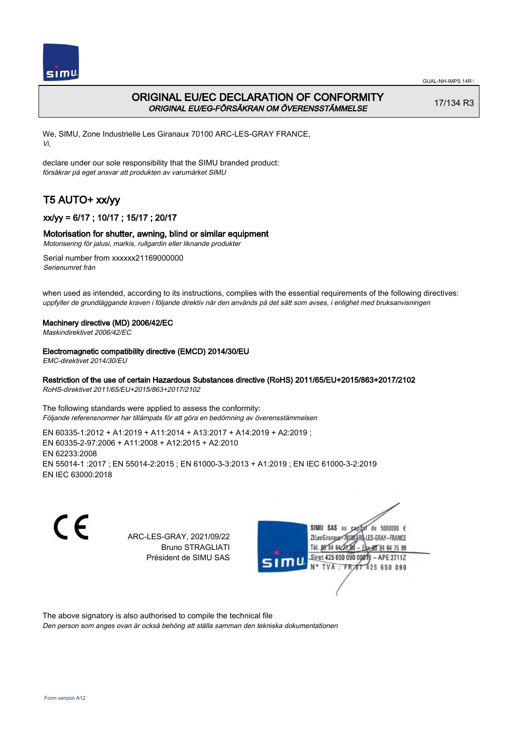

## ORIGINAL EU/EC DECLARATION OF CONFORMITY ORIGINAL EU/EG-FÖRSÄKRAN OM ÖVERENSSTÄMMELSE

17/134 R3

We, SIMU, Zone Industrielle Les Giranaux 70100 ARC-LES-GRAY FRANCE, Vi,

declare under our sole responsibility that the SIMU branded product: försäkrar på eget ansvar att produkten av varumärket SIMU

# T5 AUTO+ xx/yy

## xx/yy = 6/17 ; 10/17 ; 15/17 ; 20/17

### Motorisation for shutter, awning, blind or similar equipment

Motorisering för jalusi, markis, rullgardin eller liknande produkter

Serial number from xxxxxx21169000000 Serienumret från

when used as intended, according to its instructions, complies with the essential requirements of the following directives: uppfyller de grundläggande kraven i följande direktiv när den används på det sätt som avses, i enlighet med bruksanvisningen

### Machinery directive (MD) 2006/42/EC

Maskindirektivet 2006/42/EC

#### Electromagnetic compatibility directive (EMCD) 2014/30/EU

EMC-direktivet 2014/30/EU

### Restriction of the use of certain Hazardous Substances directive (RoHS) 2011/65/EU+2015/863+2017/2102

RoHS-direktivet 2011/65/EU+2015/863+2017/2102

The following standards were applied to assess the conformity: Följande referensnormer har tillämpats för att göra en bedömning av överensstämmelsen

EN 60335‑1:2012 + A1:2019 + A11:2014 + A13:2017 + A14:2019 + A2:2019 ; EN 60335‑2‑97:2006 + A11:2008 + A12:2015 + A2:2010 EN 62233:2008 EN 55014‑1 :2017 ; EN 55014‑2:2015 ; EN 61000‑3‑3:2013 + A1:2019 ; EN IEC 61000‑3‑2:2019 EN IEC 63000:2018

C E

ARC-LES-GRAY, 2021/09/22 Bruno STRAGLIATI Président de SIMU SAS



The above signatory is also authorised to compile the technical file

Den person som anges ovan är också behörig att ställa samman den tekniska dokumentationen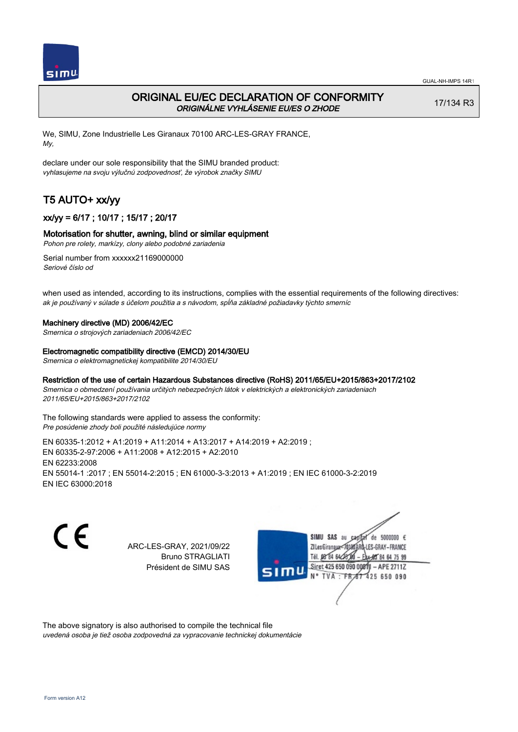

## ORIGINAL EU/EC DECLARATION OF CONFORMITY ORIGINÁLNE VYHLÁSENIE EU/ES O ZHODE

17/134 R3

We, SIMU, Zone Industrielle Les Giranaux 70100 ARC-LES-GRAY FRANCE, My,

declare under our sole responsibility that the SIMU branded product: vyhlasujeme na svoju výlučnú zodpovednosť, že výrobok značky SIMU

# T5 AUTO+ xx/yy

## xx/yy = 6/17 ; 10/17 ; 15/17 ; 20/17

#### Motorisation for shutter, awning, blind or similar equipment

Pohon pre rolety, markízy, clony alebo podobné zariadenia

Serial number from xxxxxx21169000000 Seriové číslo od

when used as intended, according to its instructions, complies with the essential requirements of the following directives: ak je používaný v súlade s účelom použitia a s návodom, spĺňa základné požiadavky týchto smerníc

#### Machinery directive (MD) 2006/42/EC

Smernica o strojových zariadeniach 2006/42/EC

#### Electromagnetic compatibility directive (EMCD) 2014/30/EU

Smernica o elektromagnetickej kompatibilite 2014/30/EU

#### Restriction of the use of certain Hazardous Substances directive (RoHS) 2011/65/EU+2015/863+2017/2102

Smernica o obmedzení používania určitých nebezpečných látok v elektrických a elektronických zariadeniach 2011/65/EU+2015/863+2017/2102

The following standards were applied to assess the conformity: Pre posúdenie zhody boli použité následujúce normy

EN 60335‑1:2012 + A1:2019 + A11:2014 + A13:2017 + A14:2019 + A2:2019 ; EN 60335‑2‑97:2006 + A11:2008 + A12:2015 + A2:2010 EN 62233:2008 EN 55014‑1 :2017 ; EN 55014‑2:2015 ; EN 61000‑3‑3:2013 + A1:2019 ; EN IEC 61000‑3‑2:2019 EN IEC 63000:2018

CE

ARC-LES-GRAY, 2021/09/22 Bruno STRAGLIATI Président de SIMU SAS



The above signatory is also authorised to compile the technical file

uvedená osoba je tiež osoba zodpovedná za vypracovanie technickej dokumentácie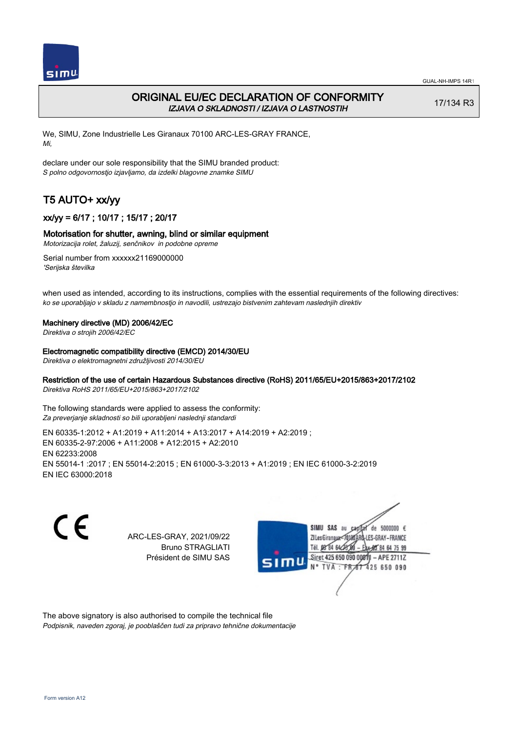

## ORIGINAL EU/EC DECLARATION OF CONFORMITY IZJAVA O SKLADNOSTI / IZJAVA O LASTNOSTIH

17/134 R3

We, SIMU, Zone Industrielle Les Giranaux 70100 ARC-LES-GRAY FRANCE, Mi,

declare under our sole responsibility that the SIMU branded product: S polno odgovornostjo izjavljamo, da izdelki blagovne znamke SIMU

# T5 AUTO+ xx/yy

## xx/yy = 6/17 ; 10/17 ; 15/17 ; 20/17

### Motorisation for shutter, awning, blind or similar equipment

Motorizacija rolet, žaluzij, senčnikov in podobne opreme

Serial number from xxxxxx21169000000 'Serijska številka

when used as intended, according to its instructions, complies with the essential requirements of the following directives: ko se uporabljajo v skladu z namembnostjo in navodili, ustrezajo bistvenim zahtevam naslednjih direktiv

#### Machinery directive (MD) 2006/42/EC

Direktiva o strojih 2006/42/EC

#### Electromagnetic compatibility directive (EMCD) 2014/30/EU

Direktiva o elektromagnetni združljivosti 2014/30/EU

## Restriction of the use of certain Hazardous Substances directive (RoHS) 2011/65/EU+2015/863+2017/2102

Direktiva RoHS 2011/65/EU+2015/863+2017/2102

The following standards were applied to assess the conformity: Za preverjanje skladnosti so bili uporabljeni naslednji standardi

EN 60335‑1:2012 + A1:2019 + A11:2014 + A13:2017 + A14:2019 + A2:2019 ; EN 60335‑2‑97:2006 + A11:2008 + A12:2015 + A2:2010 EN 62233:2008 EN 55014‑1 :2017 ; EN 55014‑2:2015 ; EN 61000‑3‑3:2013 + A1:2019 ; EN IEC 61000‑3‑2:2019 EN IEC 63000:2018

C E

ARC-LES-GRAY, 2021/09/22 Bruno STRAGLIATI Président de SIMU SAS



The above signatory is also authorised to compile the technical file Podpisnik, naveden zgoraj, je pooblaščen tudi za pripravo tehnične dokumentacije